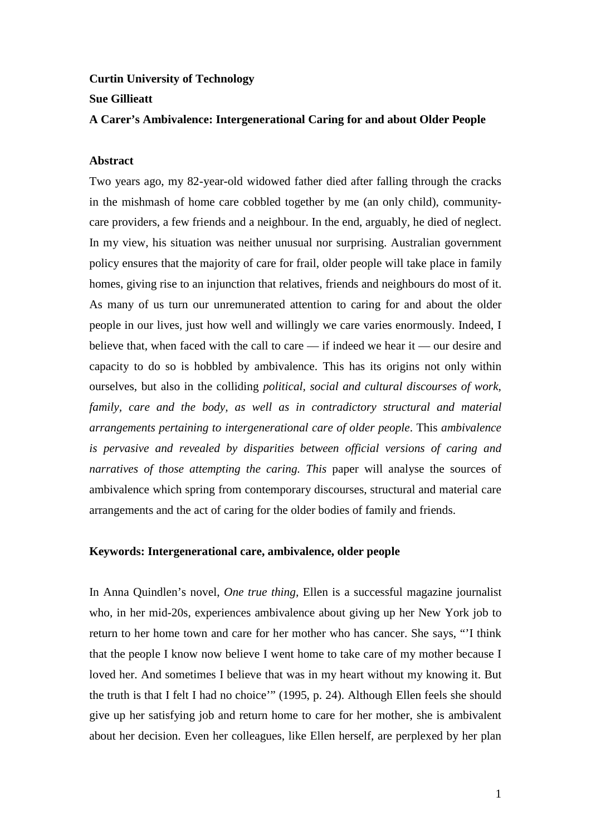# **Curtin University of Technology Sue Gillieatt**

# **A Carer's Ambivalence: Intergenerational Caring for and about Older People**

# **Abstract**

Two years ago, my 82-year-old widowed father died after falling through the cracks in the mishmash of home care cobbled together by me (an only child), communitycare providers, a few friends and a neighbour. In the end, arguably, he died of neglect. In my view, his situation was neither unusual nor surprising. Australian government policy ensures that the majority of care for frail, older people will take place in family homes, giving rise to an injunction that relatives, friends and neighbours do most of it. As many of us turn our unremunerated attention to caring for and about the older people in our lives, just how well and willingly we care varies enormously. Indeed, I believe that, when faced with the call to care — if indeed we hear it — our desire and capacity to do so is hobbled by ambivalence. This has its origins not only within ourselves, but also in the colliding *political, social and cultural discourses of work, family, care and the body, as well as in contradictory structural and material arrangements pertaining to intergenerational care of older people*. This *ambivalence is pervasive and revealed by disparities between official versions of caring and narratives of those attempting the caring. This paper will analyse the sources of* ambivalence which spring from contemporary discourses, structural and material care arrangements and the act of caring for the older bodies of family and friends.

## **Keywords: Intergenerational care, ambivalence, older people**

In Anna Quindlen's novel, *One true thing,* Ellen is a successful magazine journalist who, in her mid-20s, experiences ambivalence about giving up her New York job to return to her home town and care for her mother who has cancer. She says, "'I think that the people I know now believe I went home to take care of my mother because I loved her. And sometimes I believe that was in my heart without my knowing it. But the truth is that I felt I had no choice'" (1995, p. 24). Although Ellen feels she should give up her satisfying job and return home to care for her mother, she is ambivalent about her decision. Even her colleagues, like Ellen herself, are perplexed by her plan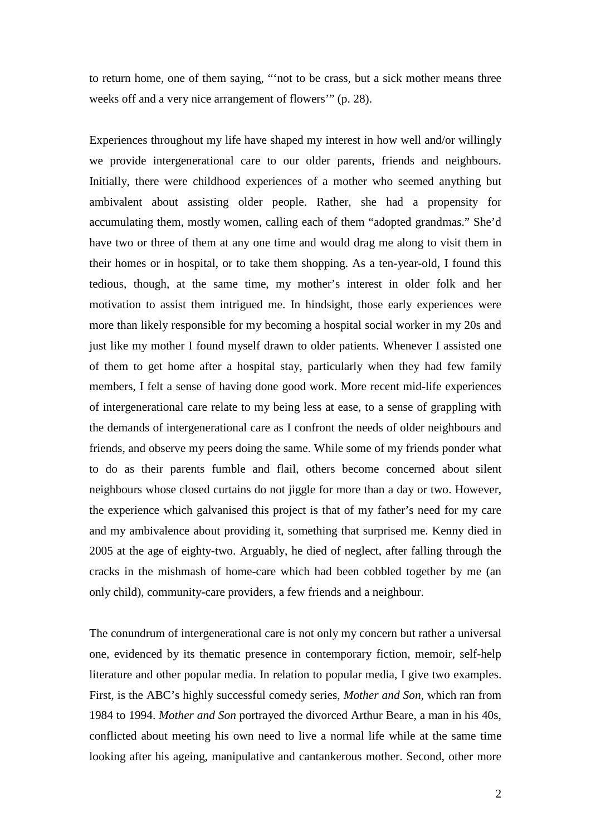to return home, one of them saying, "'not to be crass, but a sick mother means three weeks off and a very nice arrangement of flowers'" (p. 28).

Experiences throughout my life have shaped my interest in how well and/or willingly we provide intergenerational care to our older parents, friends and neighbours. Initially, there were childhood experiences of a mother who seemed anything but ambivalent about assisting older people. Rather, she had a propensity for accumulating them, mostly women, calling each of them "adopted grandmas." She'd have two or three of them at any one time and would drag me along to visit them in their homes or in hospital, or to take them shopping. As a ten-year-old, I found this tedious, though, at the same time, my mother's interest in older folk and her motivation to assist them intrigued me. In hindsight, those early experiences were more than likely responsible for my becoming a hospital social worker in my 20s and just like my mother I found myself drawn to older patients. Whenever I assisted one of them to get home after a hospital stay, particularly when they had few family members, I felt a sense of having done good work. More recent mid-life experiences of intergenerational care relate to my being less at ease, to a sense of grappling with the demands of intergenerational care as I confront the needs of older neighbours and friends, and observe my peers doing the same. While some of my friends ponder what to do as their parents fumble and flail, others become concerned about silent neighbours whose closed curtains do not jiggle for more than a day or two. However, the experience which galvanised this project is that of my father's need for my care and my ambivalence about providing it, something that surprised me. Kenny died in 2005 at the age of eighty-two. Arguably, he died of neglect, after falling through the cracks in the mishmash of home-care which had been cobbled together by me (an only child), community-care providers, a few friends and a neighbour.

The conundrum of intergenerational care is not only my concern but rather a universal one, evidenced by its thematic presence in contemporary fiction, memoir, self-help literature and other popular media. In relation to popular media, I give two examples. First, is the ABC's highly successful comedy series, *Mother and Son,* which ran from 1984 to 1994. *Mother and Son* portrayed the divorced Arthur Beare, a man in his 40s, conflicted about meeting his own need to live a normal life while at the same time looking after his ageing, manipulative and cantankerous mother. Second, other more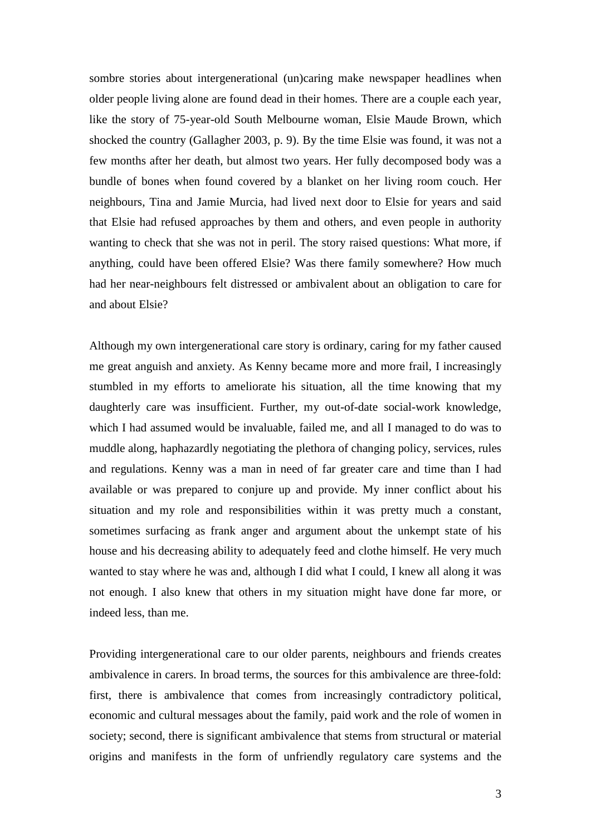sombre stories about intergenerational (un)caring make newspaper headlines when older people living alone are found dead in their homes. There are a couple each year, like the story of 75-year-old South Melbourne woman, Elsie Maude Brown, which shocked the country (Gallagher 2003, p. 9). By the time Elsie was found, it was not a few months after her death, but almost two years. Her fully decomposed body was a bundle of bones when found covered by a blanket on her living room couch. Her neighbours, Tina and Jamie Murcia, had lived next door to Elsie for years and said that Elsie had refused approaches by them and others, and even people in authority wanting to check that she was not in peril. The story raised questions: What more, if anything, could have been offered Elsie? Was there family somewhere? How much had her near-neighbours felt distressed or ambivalent about an obligation to care for and about Elsie?

Although my own intergenerational care story is ordinary, caring for my father caused me great anguish and anxiety. As Kenny became more and more frail, I increasingly stumbled in my efforts to ameliorate his situation, all the time knowing that my daughterly care was insufficient. Further, my out-of-date social-work knowledge, which I had assumed would be invaluable, failed me, and all I managed to do was to muddle along, haphazardly negotiating the plethora of changing policy, services, rules and regulations. Kenny was a man in need of far greater care and time than I had available or was prepared to conjure up and provide. My inner conflict about his situation and my role and responsibilities within it was pretty much a constant, sometimes surfacing as frank anger and argument about the unkempt state of his house and his decreasing ability to adequately feed and clothe himself. He very much wanted to stay where he was and, although I did what I could, I knew all along it was not enough. I also knew that others in my situation might have done far more, or indeed less, than me.

Providing intergenerational care to our older parents, neighbours and friends creates ambivalence in carers. In broad terms, the sources for this ambivalence are three-fold: first, there is ambivalence that comes from increasingly contradictory political, economic and cultural messages about the family, paid work and the role of women in society; second, there is significant ambivalence that stems from structural or material origins and manifests in the form of unfriendly regulatory care systems and the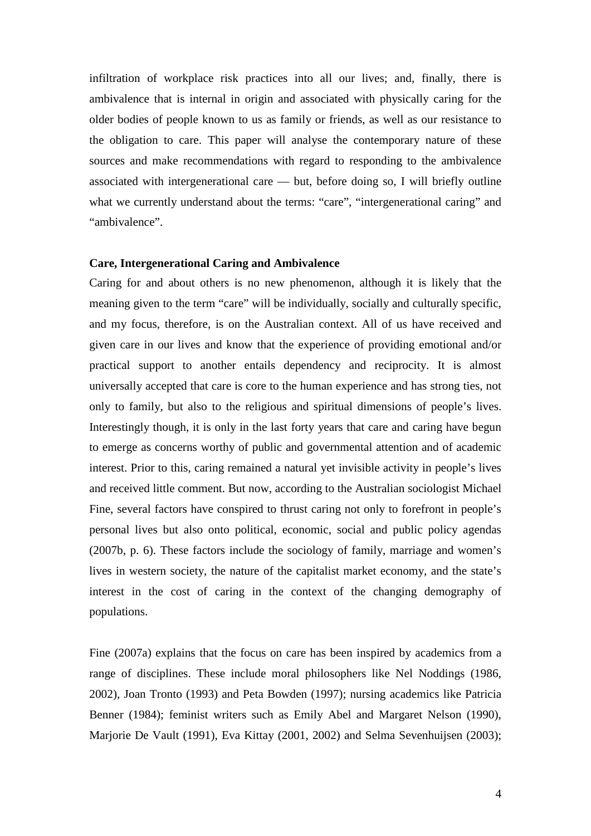infiltration of workplace risk practices into all our lives; and, finally, there is ambivalence that is internal in origin and associated with physically caring for the older bodies of people known to us as family or friends, as well as our resistance to the obligation to care. This paper will analyse the contemporary nature of these sources and make recommendations with regard to responding to the ambivalence associated with intergenerational care — but, before doing so, I will briefly outline what we currently understand about the terms: "care", "intergenerational caring" and "ambivalence".

## **Care, Intergenerational Caring and Ambivalence**

Caring for and about others is no new phenomenon, although it is likely that the meaning given to the term "care" will be individually, socially and culturally specific, and my focus, therefore, is on the Australian context. All of us have received and given care in our lives and know that the experience of providing emotional and/or practical support to another entails dependency and reciprocity. It is almost universally accepted that care is core to the human experience and has strong ties, not only to family, but also to the religious and spiritual dimensions of people's lives. Interestingly though, it is only in the last forty years that care and caring have begun to emerge as concerns worthy of public and governmental attention and of academic interest. Prior to this, caring remained a natural yet invisible activity in people's lives and received little comment. But now, according to the Australian sociologist Michael Fine, several factors have conspired to thrust caring not only to forefront in people's personal lives but also onto political, economic, social and public policy agendas (2007b, p. 6). These factors include the sociology of family, marriage and women's lives in western society, the nature of the capitalist market economy, and the state's interest in the cost of caring in the context of the changing demography of populations.

Fine (2007a) explains that the focus on care has been inspired by academics from a range of disciplines. These include moral philosophers like Nel Noddings (1986, 2002), Joan Tronto (1993) and Peta Bowden (1997); nursing academics like Patricia Benner (1984); feminist writers such as Emily Abel and Margaret Nelson (1990), Marjorie De Vault (1991), Eva Kittay (2001, 2002) and Selma Sevenhuijsen (2003);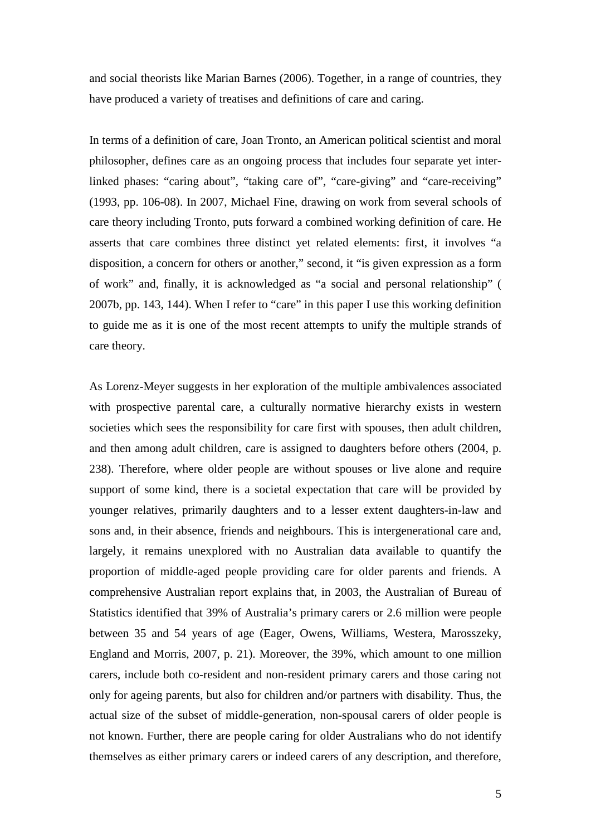and social theorists like Marian Barnes (2006). Together, in a range of countries, they have produced a variety of treatises and definitions of care and caring.

In terms of a definition of care, Joan Tronto, an American political scientist and moral philosopher, defines care as an ongoing process that includes four separate yet interlinked phases: "caring about", "taking care of", "care-giving" and "care-receiving" (1993, pp. 106-08). In 2007, Michael Fine, drawing on work from several schools of care theory including Tronto, puts forward a combined working definition of care. He asserts that care combines three distinct yet related elements: first, it involves "a disposition, a concern for others or another," second, it "is given expression as a form of work" and, finally, it is acknowledged as "a social and personal relationship" ( 2007b, pp. 143, 144). When I refer to "care" in this paper I use this working definition to guide me as it is one of the most recent attempts to unify the multiple strands of care theory.

As Lorenz-Meyer suggests in her exploration of the multiple ambivalences associated with prospective parental care, a culturally normative hierarchy exists in western societies which sees the responsibility for care first with spouses, then adult children, and then among adult children, care is assigned to daughters before others (2004, p. 238). Therefore, where older people are without spouses or live alone and require support of some kind, there is a societal expectation that care will be provided by younger relatives, primarily daughters and to a lesser extent daughters-in-law and sons and, in their absence, friends and neighbours. This is intergenerational care and, largely, it remains unexplored with no Australian data available to quantify the proportion of middle-aged people providing care for older parents and friends. A comprehensive Australian report explains that, in 2003, the Australian of Bureau of Statistics identified that 39% of Australia's primary carers or 2.6 million were people between 35 and 54 years of age (Eager, Owens, Williams, Westera, Marosszeky, England and Morris, 2007, p. 21). Moreover, the 39%, which amount to one million carers, include both co-resident and non-resident primary carers and those caring not only for ageing parents, but also for children and/or partners with disability. Thus, the actual size of the subset of middle-generation, non-spousal carers of older people is not known. Further, there are people caring for older Australians who do not identify themselves as either primary carers or indeed carers of any description, and therefore,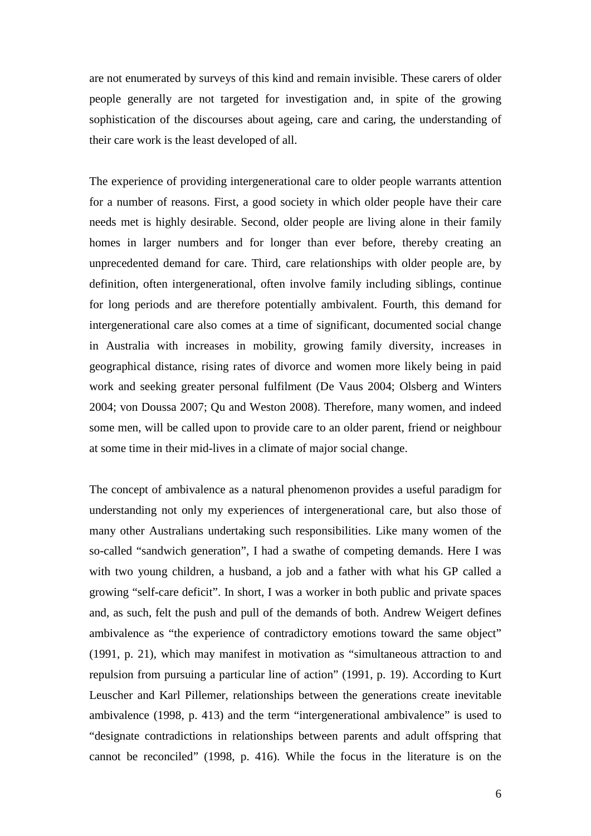are not enumerated by surveys of this kind and remain invisible. These carers of older people generally are not targeted for investigation and, in spite of the growing sophistication of the discourses about ageing, care and caring, the understanding of their care work is the least developed of all.

The experience of providing intergenerational care to older people warrants attention for a number of reasons. First, a good society in which older people have their care needs met is highly desirable. Second, older people are living alone in their family homes in larger numbers and for longer than ever before, thereby creating an unprecedented demand for care. Third, care relationships with older people are, by definition, often intergenerational, often involve family including siblings, continue for long periods and are therefore potentially ambivalent. Fourth, this demand for intergenerational care also comes at a time of significant, documented social change in Australia with increases in mobility, growing family diversity, increases in geographical distance, rising rates of divorce and women more likely being in paid work and seeking greater personal fulfilment (De Vaus 2004; Olsberg and Winters 2004; von Doussa 2007; Qu and Weston 2008). Therefore, many women, and indeed some men, will be called upon to provide care to an older parent, friend or neighbour at some time in their mid-lives in a climate of major social change.

The concept of ambivalence as a natural phenomenon provides a useful paradigm for understanding not only my experiences of intergenerational care, but also those of many other Australians undertaking such responsibilities. Like many women of the so-called "sandwich generation", I had a swathe of competing demands. Here I was with two young children, a husband, a job and a father with what his GP called a growing "self-care deficit". In short, I was a worker in both public and private spaces and, as such, felt the push and pull of the demands of both. Andrew Weigert defines ambivalence as "the experience of contradictory emotions toward the same object" (1991, p. 21), which may manifest in motivation as "simultaneous attraction to and repulsion from pursuing a particular line of action" (1991, p. 19). According to Kurt Leuscher and Karl Pillemer, relationships between the generations create inevitable ambivalence (1998, p. 413) and the term "intergenerational ambivalence" is used to "designate contradictions in relationships between parents and adult offspring that cannot be reconciled" (1998, p. 416). While the focus in the literature is on the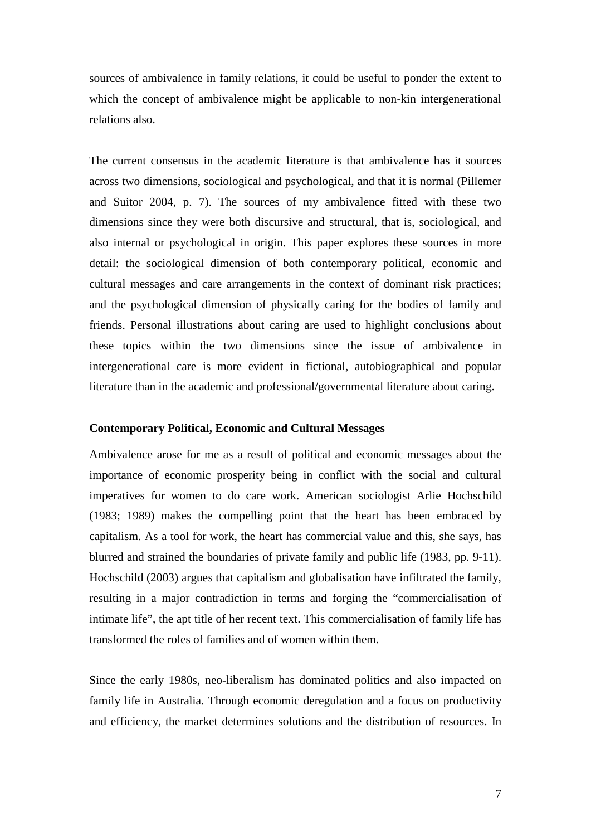sources of ambivalence in family relations, it could be useful to ponder the extent to which the concept of ambivalence might be applicable to non-kin intergenerational relations also.

The current consensus in the academic literature is that ambivalence has it sources across two dimensions, sociological and psychological, and that it is normal (Pillemer and Suitor 2004, p. 7). The sources of my ambivalence fitted with these two dimensions since they were both discursive and structural, that is, sociological, and also internal or psychological in origin. This paper explores these sources in more detail: the sociological dimension of both contemporary political, economic and cultural messages and care arrangements in the context of dominant risk practices; and the psychological dimension of physically caring for the bodies of family and friends. Personal illustrations about caring are used to highlight conclusions about these topics within the two dimensions since the issue of ambivalence in intergenerational care is more evident in fictional, autobiographical and popular literature than in the academic and professional/governmental literature about caring.

## **Contemporary Political, Economic and Cultural Messages**

Ambivalence arose for me as a result of political and economic messages about the importance of economic prosperity being in conflict with the social and cultural imperatives for women to do care work. American sociologist Arlie Hochschild (1983; 1989) makes the compelling point that the heart has been embraced by capitalism. As a tool for work, the heart has commercial value and this, she says, has blurred and strained the boundaries of private family and public life (1983, pp. 9-11). Hochschild (2003) argues that capitalism and globalisation have infiltrated the family, resulting in a major contradiction in terms and forging the "commercialisation of intimate life", the apt title of her recent text. This commercialisation of family life has transformed the roles of families and of women within them.

Since the early 1980s, neo-liberalism has dominated politics and also impacted on family life in Australia. Through economic deregulation and a focus on productivity and efficiency, the market determines solutions and the distribution of resources. In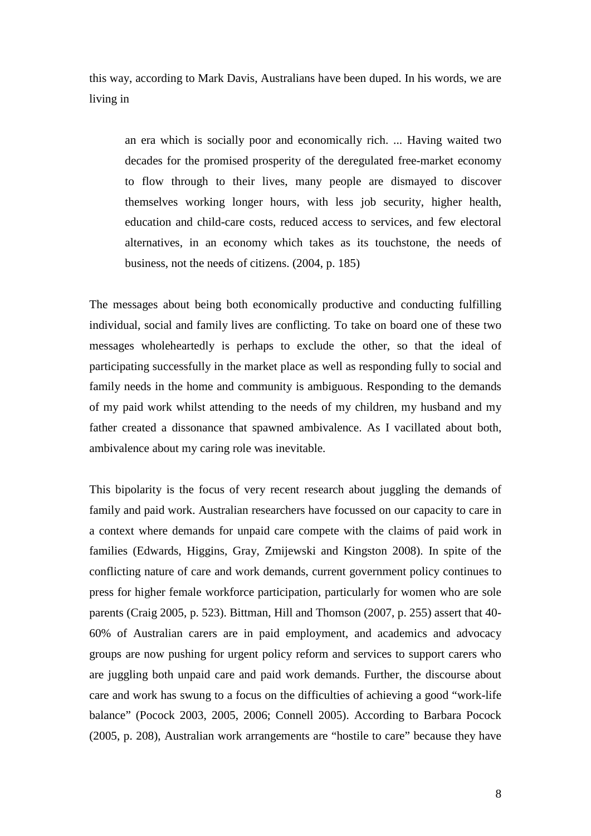this way, according to Mark Davis, Australians have been duped. In his words, we are living in

an era which is socially poor and economically rich. ... Having waited two decades for the promised prosperity of the deregulated free-market economy to flow through to their lives, many people are dismayed to discover themselves working longer hours, with less job security, higher health, education and child-care costs, reduced access to services, and few electoral alternatives, in an economy which takes as its touchstone, the needs of business, not the needs of citizens. (2004, p. 185)

The messages about being both economically productive and conducting fulfilling individual, social and family lives are conflicting. To take on board one of these two messages wholeheartedly is perhaps to exclude the other, so that the ideal of participating successfully in the market place as well as responding fully to social and family needs in the home and community is ambiguous. Responding to the demands of my paid work whilst attending to the needs of my children, my husband and my father created a dissonance that spawned ambivalence. As I vacillated about both, ambivalence about my caring role was inevitable.

This bipolarity is the focus of very recent research about juggling the demands of family and paid work. Australian researchers have focussed on our capacity to care in a context where demands for unpaid care compete with the claims of paid work in families (Edwards, Higgins, Gray, Zmijewski and Kingston 2008). In spite of the conflicting nature of care and work demands, current government policy continues to press for higher female workforce participation, particularly for women who are sole parents (Craig 2005, p. 523). Bittman, Hill and Thomson (2007, p. 255) assert that 40- 60% of Australian carers are in paid employment, and academics and advocacy groups are now pushing for urgent policy reform and services to support carers who are juggling both unpaid care and paid work demands. Further, the discourse about care and work has swung to a focus on the difficulties of achieving a good "work-life balance" (Pocock 2003, 2005, 2006; Connell 2005). According to Barbara Pocock (2005, p. 208), Australian work arrangements are "hostile to care" because they have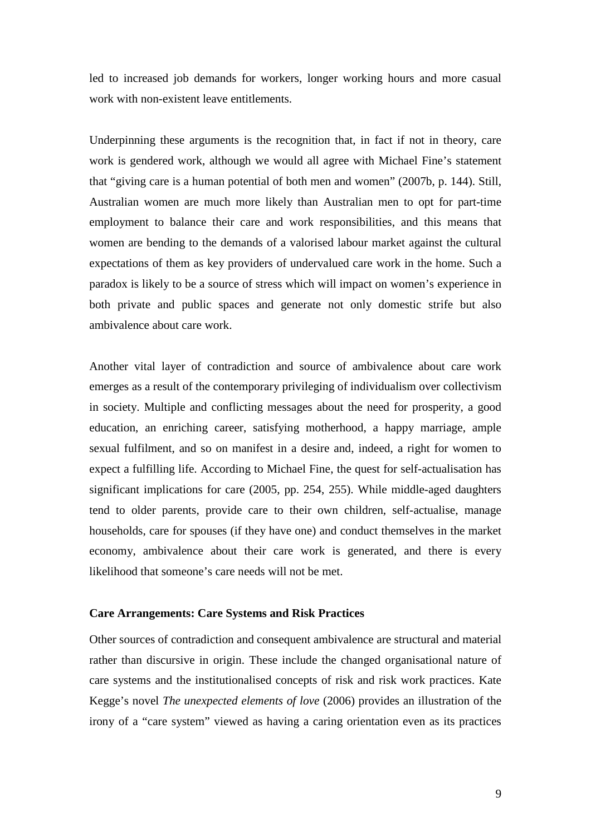led to increased job demands for workers, longer working hours and more casual work with non-existent leave entitlements.

Underpinning these arguments is the recognition that, in fact if not in theory, care work is gendered work, although we would all agree with Michael Fine's statement that "giving care is a human potential of both men and women" (2007b, p. 144). Still, Australian women are much more likely than Australian men to opt for part-time employment to balance their care and work responsibilities, and this means that women are bending to the demands of a valorised labour market against the cultural expectations of them as key providers of undervalued care work in the home. Such a paradox is likely to be a source of stress which will impact on women's experience in both private and public spaces and generate not only domestic strife but also ambivalence about care work.

Another vital layer of contradiction and source of ambivalence about care work emerges as a result of the contemporary privileging of individualism over collectivism in society. Multiple and conflicting messages about the need for prosperity, a good education, an enriching career, satisfying motherhood, a happy marriage, ample sexual fulfilment, and so on manifest in a desire and, indeed, a right for women to expect a fulfilling life. According to Michael Fine, the quest for self-actualisation has significant implications for care (2005, pp. 254, 255). While middle-aged daughters tend to older parents, provide care to their own children, self-actualise, manage households, care for spouses (if they have one) and conduct themselves in the market economy, ambivalence about their care work is generated, and there is every likelihood that someone's care needs will not be met.

#### **Care Arrangements: Care Systems and Risk Practices**

Other sources of contradiction and consequent ambivalence are structural and material rather than discursive in origin. These include the changed organisational nature of care systems and the institutionalised concepts of risk and risk work practices. Kate Kegge's novel *The unexpected elements of love* (2006) provides an illustration of the irony of a "care system" viewed as having a caring orientation even as its practices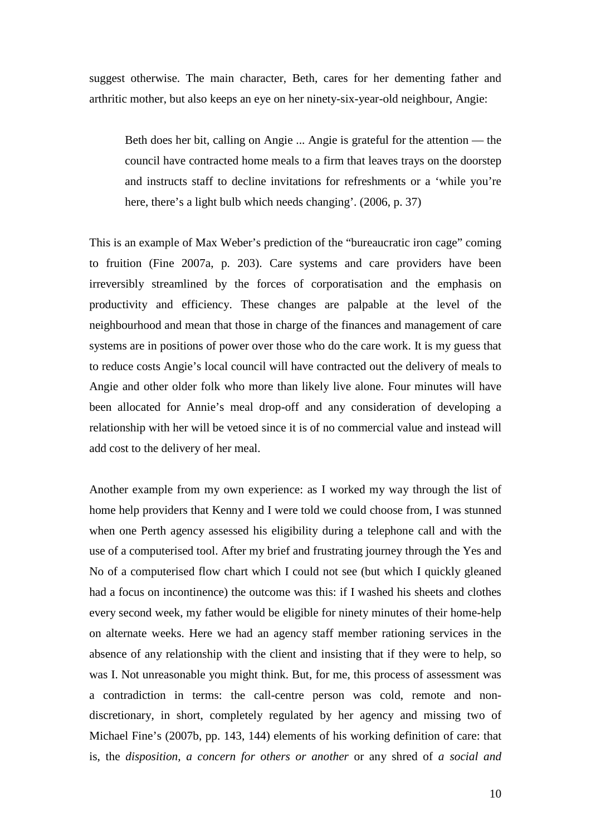suggest otherwise. The main character, Beth, cares for her dementing father and arthritic mother, but also keeps an eye on her ninety-six-year-old neighbour, Angie:

Beth does her bit, calling on Angie ... Angie is grateful for the attention — the council have contracted home meals to a firm that leaves trays on the doorstep and instructs staff to decline invitations for refreshments or a 'while you're here, there's a light bulb which needs changing'. (2006, p. 37)

This is an example of Max Weber's prediction of the "bureaucratic iron cage" coming to fruition (Fine 2007a, p. 203). Care systems and care providers have been irreversibly streamlined by the forces of corporatisation and the emphasis on productivity and efficiency. These changes are palpable at the level of the neighbourhood and mean that those in charge of the finances and management of care systems are in positions of power over those who do the care work. It is my guess that to reduce costs Angie's local council will have contracted out the delivery of meals to Angie and other older folk who more than likely live alone. Four minutes will have been allocated for Annie's meal drop-off and any consideration of developing a relationship with her will be vetoed since it is of no commercial value and instead will add cost to the delivery of her meal.

Another example from my own experience: as I worked my way through the list of home help providers that Kenny and I were told we could choose from, I was stunned when one Perth agency assessed his eligibility during a telephone call and with the use of a computerised tool. After my brief and frustrating journey through the Yes and No of a computerised flow chart which I could not see (but which I quickly gleaned had a focus on incontinence) the outcome was this: if I washed his sheets and clothes every second week, my father would be eligible for ninety minutes of their home-help on alternate weeks. Here we had an agency staff member rationing services in the absence of any relationship with the client and insisting that if they were to help, so was I. Not unreasonable you might think. But, for me, this process of assessment was a contradiction in terms: the call-centre person was cold, remote and nondiscretionary, in short, completely regulated by her agency and missing two of Michael Fine's (2007b, pp. 143, 144) elements of his working definition of care: that is, the *disposition, a concern for others or another* or any shred of *a social and*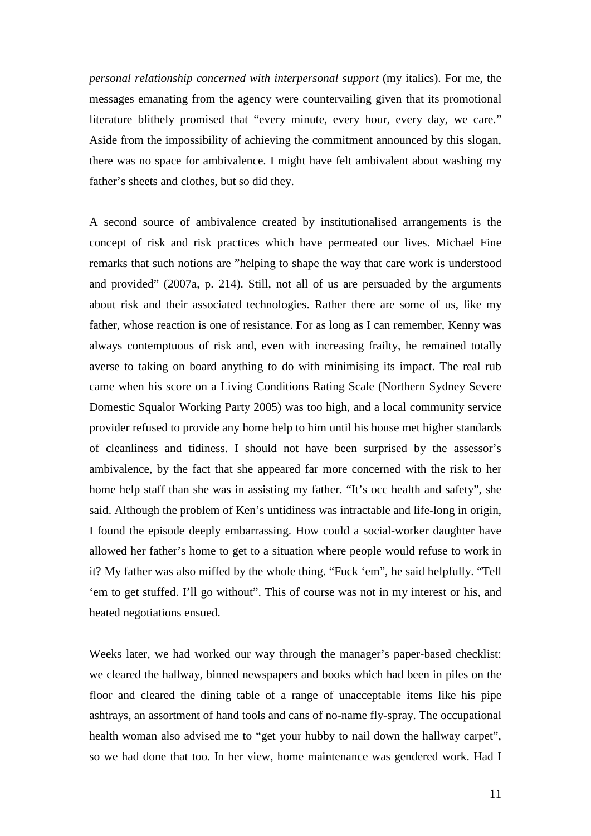*personal relationship concerned with interpersonal support* (my italics). For me, the messages emanating from the agency were countervailing given that its promotional literature blithely promised that "every minute, every hour, every day, we care." Aside from the impossibility of achieving the commitment announced by this slogan, there was no space for ambivalence. I might have felt ambivalent about washing my father's sheets and clothes, but so did they.

A second source of ambivalence created by institutionalised arrangements is the concept of risk and risk practices which have permeated our lives. Michael Fine remarks that such notions are "helping to shape the way that care work is understood and provided" (2007a, p. 214). Still, not all of us are persuaded by the arguments about risk and their associated technologies. Rather there are some of us, like my father, whose reaction is one of resistance. For as long as I can remember, Kenny was always contemptuous of risk and, even with increasing frailty, he remained totally averse to taking on board anything to do with minimising its impact. The real rub came when his score on a Living Conditions Rating Scale (Northern Sydney Severe Domestic Squalor Working Party 2005) was too high, and a local community service provider refused to provide any home help to him until his house met higher standards of cleanliness and tidiness. I should not have been surprised by the assessor's ambivalence, by the fact that she appeared far more concerned with the risk to her home help staff than she was in assisting my father. "It's occ health and safety", she said. Although the problem of Ken's untidiness was intractable and life-long in origin, I found the episode deeply embarrassing. How could a social-worker daughter have allowed her father's home to get to a situation where people would refuse to work in it? My father was also miffed by the whole thing. "Fuck 'em", he said helpfully. "Tell 'em to get stuffed. I'll go without". This of course was not in my interest or his, and heated negotiations ensued.

Weeks later, we had worked our way through the manager's paper-based checklist: we cleared the hallway, binned newspapers and books which had been in piles on the floor and cleared the dining table of a range of unacceptable items like his pipe ashtrays, an assortment of hand tools and cans of no-name fly-spray. The occupational health woman also advised me to "get your hubby to nail down the hallway carpet", so we had done that too. In her view, home maintenance was gendered work. Had I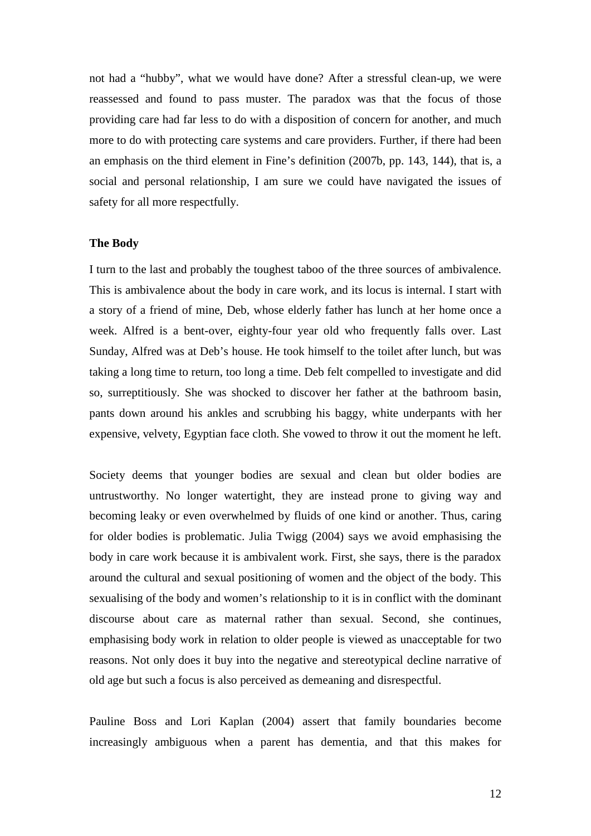not had a "hubby", what we would have done? After a stressful clean-up, we were reassessed and found to pass muster. The paradox was that the focus of those providing care had far less to do with a disposition of concern for another, and much more to do with protecting care systems and care providers. Further, if there had been an emphasis on the third element in Fine's definition (2007b, pp. 143, 144), that is, a social and personal relationship, I am sure we could have navigated the issues of safety for all more respectfully.

#### **The Body**

I turn to the last and probably the toughest taboo of the three sources of ambivalence. This is ambivalence about the body in care work, and its locus is internal. I start with a story of a friend of mine, Deb, whose elderly father has lunch at her home once a week. Alfred is a bent-over, eighty-four year old who frequently falls over. Last Sunday, Alfred was at Deb's house. He took himself to the toilet after lunch, but was taking a long time to return, too long a time. Deb felt compelled to investigate and did so, surreptitiously. She was shocked to discover her father at the bathroom basin, pants down around his ankles and scrubbing his baggy, white underpants with her expensive, velvety, Egyptian face cloth. She vowed to throw it out the moment he left.

Society deems that younger bodies are sexual and clean but older bodies are untrustworthy. No longer watertight, they are instead prone to giving way and becoming leaky or even overwhelmed by fluids of one kind or another. Thus, caring for older bodies is problematic. Julia Twigg (2004) says we avoid emphasising the body in care work because it is ambivalent work. First, she says, there is the paradox around the cultural and sexual positioning of women and the object of the body. This sexualising of the body and women's relationship to it is in conflict with the dominant discourse about care as maternal rather than sexual. Second, she continues, emphasising body work in relation to older people is viewed as unacceptable for two reasons. Not only does it buy into the negative and stereotypical decline narrative of old age but such a focus is also perceived as demeaning and disrespectful.

Pauline Boss and Lori Kaplan (2004) assert that family boundaries become increasingly ambiguous when a parent has dementia, and that this makes for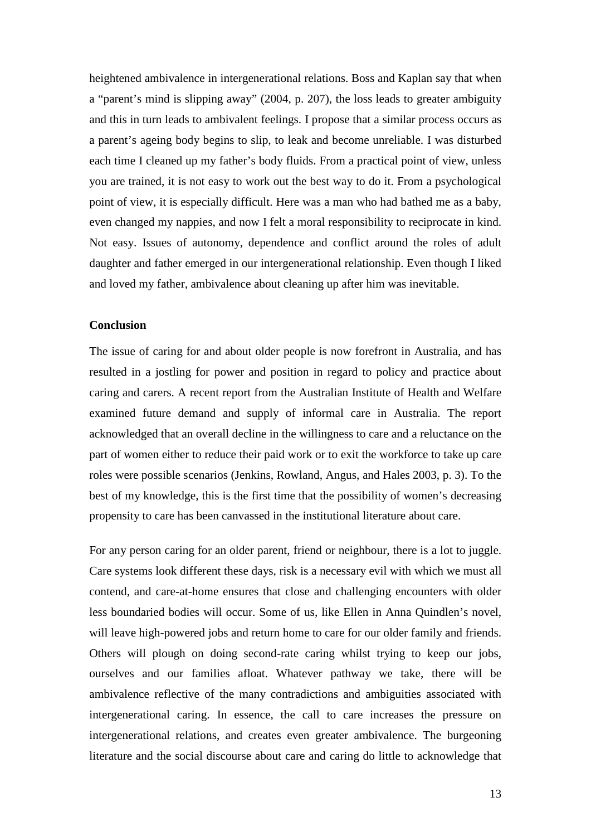heightened ambivalence in intergenerational relations. Boss and Kaplan say that when a "parent's mind is slipping away" (2004, p. 207), the loss leads to greater ambiguity and this in turn leads to ambivalent feelings. I propose that a similar process occurs as a parent's ageing body begins to slip, to leak and become unreliable. I was disturbed each time I cleaned up my father's body fluids. From a practical point of view, unless you are trained, it is not easy to work out the best way to do it. From a psychological point of view, it is especially difficult. Here was a man who had bathed me as a baby, even changed my nappies, and now I felt a moral responsibility to reciprocate in kind. Not easy. Issues of autonomy, dependence and conflict around the roles of adult daughter and father emerged in our intergenerational relationship. Even though I liked and loved my father, ambivalence about cleaning up after him was inevitable.

## **Conclusion**

The issue of caring for and about older people is now forefront in Australia, and has resulted in a jostling for power and position in regard to policy and practice about caring and carers. A recent report from the Australian Institute of Health and Welfare examined future demand and supply of informal care in Australia. The report acknowledged that an overall decline in the willingness to care and a reluctance on the part of women either to reduce their paid work or to exit the workforce to take up care roles were possible scenarios (Jenkins, Rowland, Angus, and Hales 2003, p. 3). To the best of my knowledge, this is the first time that the possibility of women's decreasing propensity to care has been canvassed in the institutional literature about care.

For any person caring for an older parent, friend or neighbour, there is a lot to juggle. Care systems look different these days, risk is a necessary evil with which we must all contend, and care-at-home ensures that close and challenging encounters with older less boundaried bodies will occur. Some of us, like Ellen in Anna Quindlen's novel, will leave high-powered jobs and return home to care for our older family and friends. Others will plough on doing second-rate caring whilst trying to keep our jobs, ourselves and our families afloat. Whatever pathway we take, there will be ambivalence reflective of the many contradictions and ambiguities associated with intergenerational caring. In essence, the call to care increases the pressure on intergenerational relations, and creates even greater ambivalence. The burgeoning literature and the social discourse about care and caring do little to acknowledge that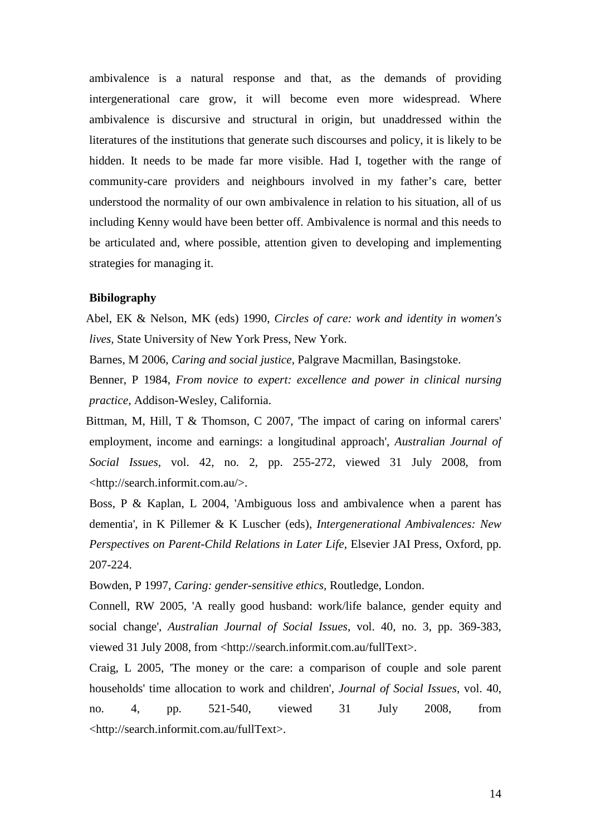ambivalence is a natural response and that, as the demands of providing intergenerational care grow, it will become even more widespread. Where ambivalence is discursive and structural in origin, but unaddressed within the literatures of the institutions that generate such discourses and policy, it is likely to be hidden. It needs to be made far more visible. Had I, together with the range of community-care providers and neighbours involved in my father's care, better understood the normality of our own ambivalence in relation to his situation, all of us including Kenny would have been better off. Ambivalence is normal and this needs to be articulated and, where possible, attention given to developing and implementing strategies for managing it.

## **Bibilography**

Abel, EK & Nelson, MK (eds) 1990, *Circles of care: work and identity in women's lives,* State University of New York Press, New York.

Barnes, M 2006, *Caring and social justice,* Palgrave Macmillan, Basingstoke.

Benner, P 1984, *From novice to expert: excellence and power in clinical nursing practice,* Addison-Wesley, California.

Bittman, M, Hill, T & Thomson, C 2007, 'The impact of caring on informal carers' employment, income and earnings: a longitudinal approach', *Australian Journal of Social Issues,* vol. 42, no. 2, pp. 255-272, viewed 31 July 2008, from <http://search.informit.com.au/>.

Boss, P & Kaplan, L 2004, 'Ambiguous loss and ambivalence when a parent has dementia', in K Pillemer & K Luscher (eds), *Intergenerational Ambivalences: New Perspectives on Parent-Child Relations in Later Life*, Elsevier JAI Press, Oxford, pp. 207-224.

Bowden, P 1997, *Caring: gender-sensitive ethics,* Routledge, London.

Connell, RW 2005, 'A really good husband: work/life balance, gender equity and social change', *Australian Journal of Social Issues,* vol. 40, no. 3, pp. 369-383, viewed 31 July 2008, from <http://search.informit.com.au/fullText>.

Craig, L 2005, 'The money or the care: a comparison of couple and sole parent households' time allocation to work and children', *Journal of Social Issues,* vol. 40, no. 4, pp. 521-540, viewed 31 July 2008, from <http://search.informit.com.au/fullText>.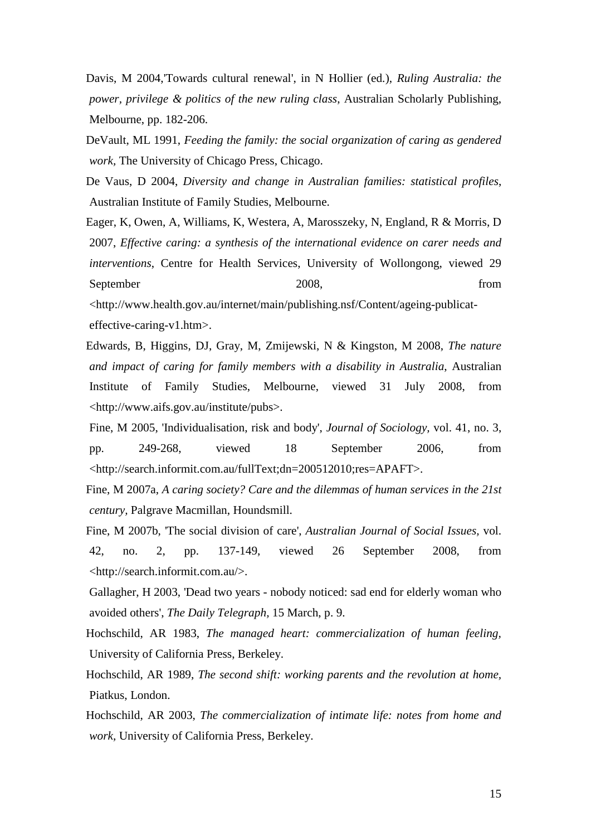Davis, M 2004,'Towards cultural renewal', in N Hollier (ed.), *Ruling Australia: the power, privilege & politics of the new ruling class*, Australian Scholarly Publishing, Melbourne, pp. 182-206.

DeVault, ML 1991, *Feeding the family: the social organization of caring as gendered work,* The University of Chicago Press, Chicago.

De Vaus, D 2004, *Diversity and change in Australian families: statistical profiles*, Australian Institute of Family Studies, Melbourne.

Eager, K, Owen, A, Williams, K, Westera, A, Marosszeky, N, England, R & Morris, D 2007, *Effective caring: a synthesis of the international evidence on carer needs and interventions*, Centre for Health Services, University of Wollongong, viewed 29 September 2008, from <http://www.health.gov.au/internet/main/publishing.nsf/Content/ageing-publicat-

effective-caring-v1.htm>.

Edwards, B, Higgins, DJ, Gray, M, Zmijewski, N & Kingston, M 2008, *The nature and impact of caring for family members with a disability in Australia*, Australian Institute of Family Studies, Melbourne, viewed 31 July 2008, from <http://www.aifs.gov.au/institute/pubs>.

Fine, M 2005, 'Individualisation, risk and body', *Journal of Sociology,* vol. 41, no. 3, pp. 249-268, viewed 18 September 2006, from <http://search.informit.com.au/fullText;dn=200512010;res=APAFT>.

Fine, M 2007a, *A caring society? Care and the dilemmas of human services in the 21st century,* Palgrave Macmillan, Houndsmill.

Fine, M 2007b, 'The social division of care', *Australian Journal of Social Issues,* vol. 42, no. 2, pp. 137-149, viewed 26 September 2008, from <http://search.informit.com.au/>.

Gallagher, H 2003, 'Dead two years - nobody noticed: sad end for elderly woman who avoided others', *The Daily Telegraph,* 15 March, p. 9.

Hochschild, AR 1983, *The managed heart: commercialization of human feeling,*  University of California Press, Berkeley.

Hochschild, AR 1989, *The second shift: working parents and the revolution at home,*  Piatkus, London.

Hochschild, AR 2003, *The commercialization of intimate life: notes from home and work,* University of California Press, Berkeley.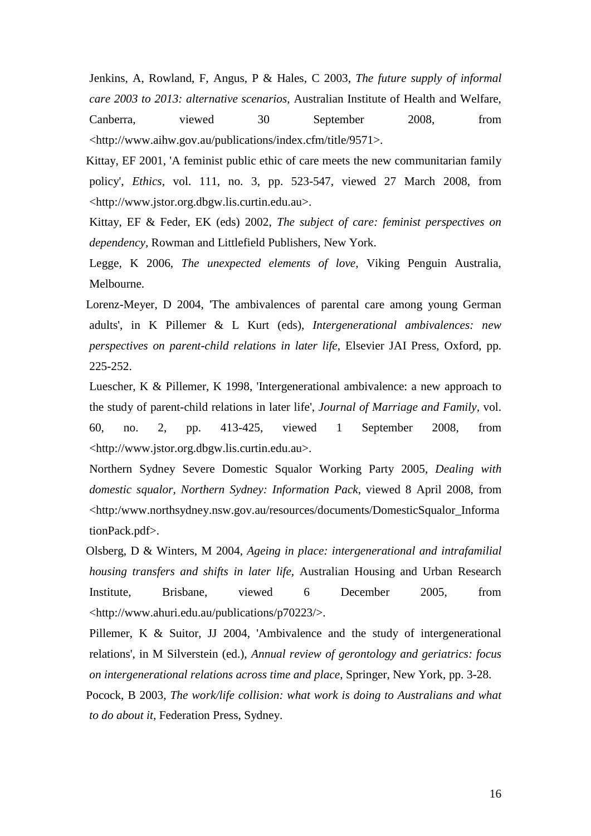Jenkins, A, Rowland, F, Angus, P & Hales, C 2003, *The future supply of informal care 2003 to 2013: alternative scenarios*, Australian Institute of Health and Welfare, Canberra, viewed 30 September 2008, from

<http://www.aihw.gov.au/publications/index.cfm/title/9571>.

Kittay, EF 2001, 'A feminist public ethic of care meets the new communitarian family policy', *Ethics,* vol. 111, no. 3, pp. 523-547, viewed 27 March 2008, from <http://www.jstor.org.dbgw.lis.curtin.edu.au>.

Kittay, EF & Feder, EK (eds) 2002, *The subject of care: feminist perspectives on dependency,* Rowman and Littlefield Publishers, New York.

Legge, K 2006, *The unexpected elements of love,* Viking Penguin Australia, Melbourne.

Lorenz-Meyer, D 2004, 'The ambivalences of parental care among young German adults', in K Pillemer & L Kurt (eds), *Intergenerational ambivalences: new perspectives on parent-child relations in later life*, Elsevier JAI Press, Oxford, pp. 225-252.

Luescher, K & Pillemer, K 1998, 'Intergenerational ambivalence: a new approach to the study of parent-child relations in later life', *Journal of Marriage and Family,* vol. 60, no. 2, pp. 413-425, viewed 1 September 2008, from <http://www.jstor.org.dbgw.lis.curtin.edu.au>.

Northern Sydney Severe Domestic Squalor Working Party 2005, *Dealing with domestic squalor, Northern Sydney: Information Pack*, viewed 8 April 2008, from <http:/www.northsydney.nsw.gov.au/resources/documents/DomesticSqualor\_Informa tionPack.pdf>.

Olsberg, D & Winters, M 2004, *Ageing in place: intergenerational and intrafamilial housing transfers and shifts in later life*, Australian Housing and Urban Research Institute, Brisbane, viewed 6 December 2005, from <http://www.ahuri.edu.au/publications/p70223/>.

Pillemer, K & Suitor, JJ 2004, 'Ambivalence and the study of intergenerational relations', in M Silverstein (ed.), *Annual review of gerontology and geriatrics: focus on intergenerational relations across time and place*, Springer, New York, pp. 3-28.

Pocock, B 2003, *The work/life collision: what work is doing to Australians and what to do about it,* Federation Press, Sydney.